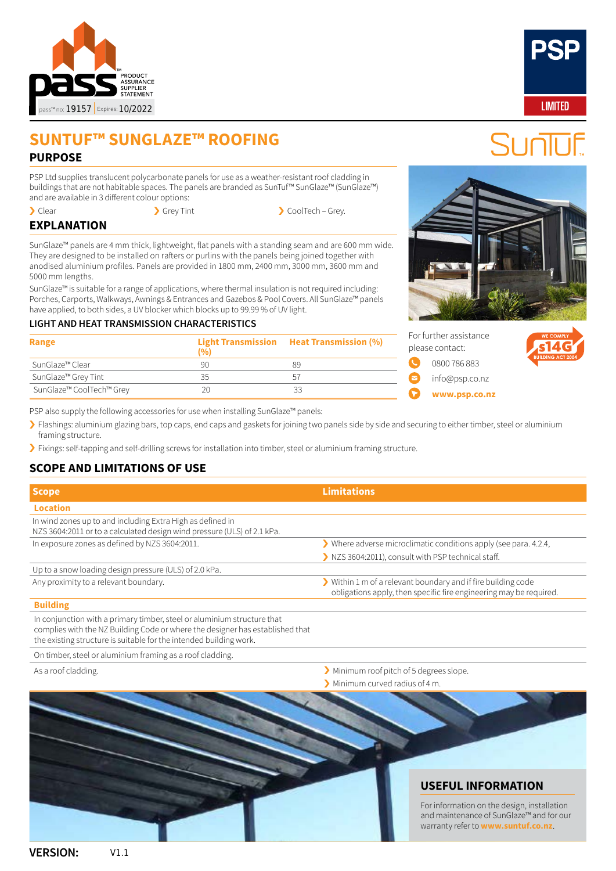

# **SUNTUF™ SUNGLAZE™ ROOFING PURPOSE**

PSP Ltd supplies translucent polycarbonate panels for use as a weather-resistant roof cladding in buildings that are not habitable spaces. The panels are branded as SunTuf™ SunGlaze™ (SunGlaze™) and are available in 3 different colour options:

• Clear **CoolTech – Grey Tint** SchoolTech – Grey.

# **EXPLANATION**

SunGlaze™ panels are 4 mm thick, lightweight, flat panels with a standing seam and are 600 mm wide. They are designed to be installed on rafters or purlins with the panels being joined together with anodised aluminium profiles. Panels are provided in 1800 mm, 2400 mm, 3000 mm, 3600 mm and 5000 mm lengths.

SunGlaze™ is suitable for a range of applications, where thermal insulation is not required including: Porches, Carports, Walkways, Awnings & Entrances and Gazebos & Pool Covers. All SunGlaze™ panels have applied, to both sides, a UV blocker which blocks up to 99.99 % of UV light.

### **LIGHT AND HEAT TRANSMISSION CHARACTERISTICS**

| Range                           | (0) | Light Transmission Heat Transmission (%) |
|---------------------------------|-----|------------------------------------------|
| SunGlaze™ Clear                 | 90  | 89                                       |
| SunGlaze <sup>™</sup> Grey Tint | 35  | 51                                       |
| SunGlaze™ CoolTech™ Grey        | 20  | 33                                       |

[info@psp.co.nz](mailto:info%40psp.co.nz?subject=Pass%20enquiry%20about%20SunTuf%E2%84%A2%20Polycarbonate%20Sheets)

PSP also supply the following accessories for use when installing SunGlaze™ panels:

› Flashings: aluminium glazing bars, top caps, end caps and gaskets for joining two panels side by side and securing to either timber, steel or aluminium framing structure.

› Fixings: self-tapping and self-drilling screws for installation into timber, steel or aluminium framing structure.

## **SCOPE AND LIMITATIONS OF USE**

| <b>Scope</b>                                                                                                                          | <b>Limitations</b>                                                                                                                                      |
|---------------------------------------------------------------------------------------------------------------------------------------|---------------------------------------------------------------------------------------------------------------------------------------------------------|
| <b>Location</b>                                                                                                                       |                                                                                                                                                         |
| In wind zones up to and including Extra High as defined in<br>NZS 3604:2011 or to a calculated design wind pressure (ULS) of 2.1 kPa. |                                                                                                                                                         |
| In exposure zones as defined by NZS 3604:2011.                                                                                        | $\blacktriangleright$ Where adverse microclimatic conditions apply (see para. 4.2.4,                                                                    |
|                                                                                                                                       | NZS 3604:2011), consult with PSP technical staff.                                                                                                       |
| Up to a snow loading design pressure (ULS) of 2.0 kPa.                                                                                |                                                                                                                                                         |
| Any proximity to a relevant boundary.                                                                                                 | $\blacktriangleright$ Within 1 m of a relevant boundary and if fire building code<br>obligations apply, then specific fire engineering may be required. |

#### **Building**

In conjunction with a primary timber, steel or aluminium structure that complies with the NZ Building Code or where the designer has established that the existing structure is suitable for the intended building work.

On timber, steel or aluminium framing as a roof cladding.

- As a roof cladding. **As a roof cladding.**  $\blacksquare$  As a roof cladding.  $\blacksquare$  Minimum roof pitch of 5 degrees slope.
	- › Minimum curved radius of 4 m.